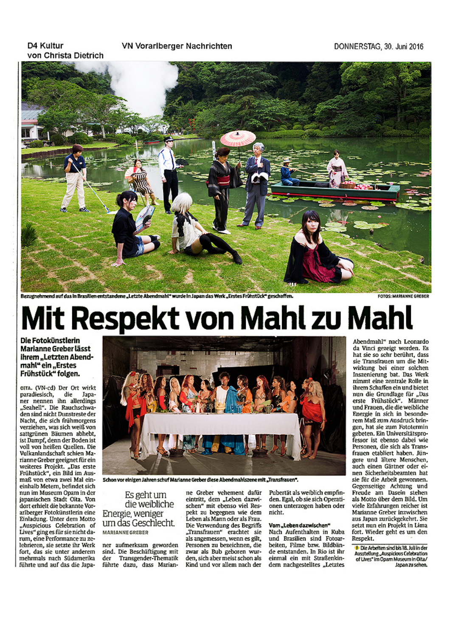#### D4 Kultur VN Vorarlberger Nachrichten von Christa Dietrich



Bezugnehmend auf das in Brasilien entstandene "Letzte Abendmahl" wurde in Japan das Werk "Erstes Frühstück" geschaffen.

FOTOS: MARIANNE GREBER

# Mit Respekt von Mahl zu Mal

Die Fotokünstlerin Marianne Greber lässt ihrem "Letzten Abendmahl" ein "Erstes Frühstück" folgen.

oita. (VN-cd) Der Ort wirkt paradiesisch, die Japaner nennen ihn allerdings "Seahell". Die Rauchschwaden sind nicht Dunstreste der Nacht, die sich frühmorgens verziehen, was sich weiß von sattgrünen Bäumen abhebt, ist Dampf, denn der Boden ist voll von heißen Quellen. Die Vulkanlandschaft schien Marianne Greber geeignet für ein weiteres Projekt. "Das erste<br>Frühstück", ein Bild im Ausmaß von etwa zwei Mal eineinhalb Metern, befindet sich nun im Museum Opam in der japanischen Stadt Oita. Von dort erhielt die bekannte Vorarlberger Fotokünstlerin eine Einladung. Unter dem Motto "Auspicious Celebration of Lives" ging es für sie nicht darum, eine Performance zu zelebrieren, sie setzte ihr Werk fort, das sie unter anderem mehrmals nach Südamerika führte und auf das die Japa-



Schon vor einigen Jahren schuf Marianne Greber diese Abendmahlszene mit "Transfrauen".

Es geht um die weibliche Energie, weniger um das Geschlecht. MARIANNE GREBER

ner aufmerksam geworden sind. Die Beschäftigung mit der Transgender-Thematik führte dazu, dass Marian-

ne Greber vehement dafür eintritt, dem "Leben dazwischen" mit ebenso viel Respekt zu begegnen wie dem Leben als Mann oder als Frau. Die Verwendung des Begriffs "Transfrauen" erachtet sie als angemessen, wenn es gilt, Personen zu bezeichnen, die zwar als Bub geboren wurden, sich aber meist schon als Kind und vor allem nach der

Pubertät als weiblich empfinden. Egal, ob sie sich Operationen unterzogen haben oder nicht.

### Vom "Leben dazwischen"

Nach Aufenthalten in Kuba und Brasilien sind Fotoarbeiten, Filme bzw. Bildbände entstanden. In Rio ist ihr einmal ein mit Straßenkindern nachgestelltes "Letztes

Abendmahl" nach Leonardo da Vinci gezeigt worden. Es hat sie so sehr berührt, dass sie Transfrauen um die Mitwirkung bei einer solchen Inszenierung bat. Das Werk nimmt eine zentrale Rolle in ihrem Schaffen ein und bietet nun die Grundlage für "Das erste Frühstück". Männer und Frauen, die die weibliche Energie in sich in besonderem Maß zum Ausdruck bringen, hat sie zum Fototermin gebeten. Ein Universitätsprofessor ist ebenso dabei wie Personen, die sich als Transfrauen etabliert haben. Jüngere und ältere Menschen, auch einen Gärtner oder einen Sicherheitsbeamten hat sie für die Arbeit gewonnen. Gegenseitige Achtung und Freude am Dasein stehen als Motto über dem Bild. Um viele Erfahrungen reicher ist Marianne Greber inzwischen aus Japan zurückgekehrt. Sie setzt nun ein Projekt in Lima fort. Wieder geht es um den Respekt.

D Die Arbeiten sind bis 18. Juli in der Ausstellung "Auspicious Celebration of Lives" im Opam Museum in Oita/ Japan zu sehen.